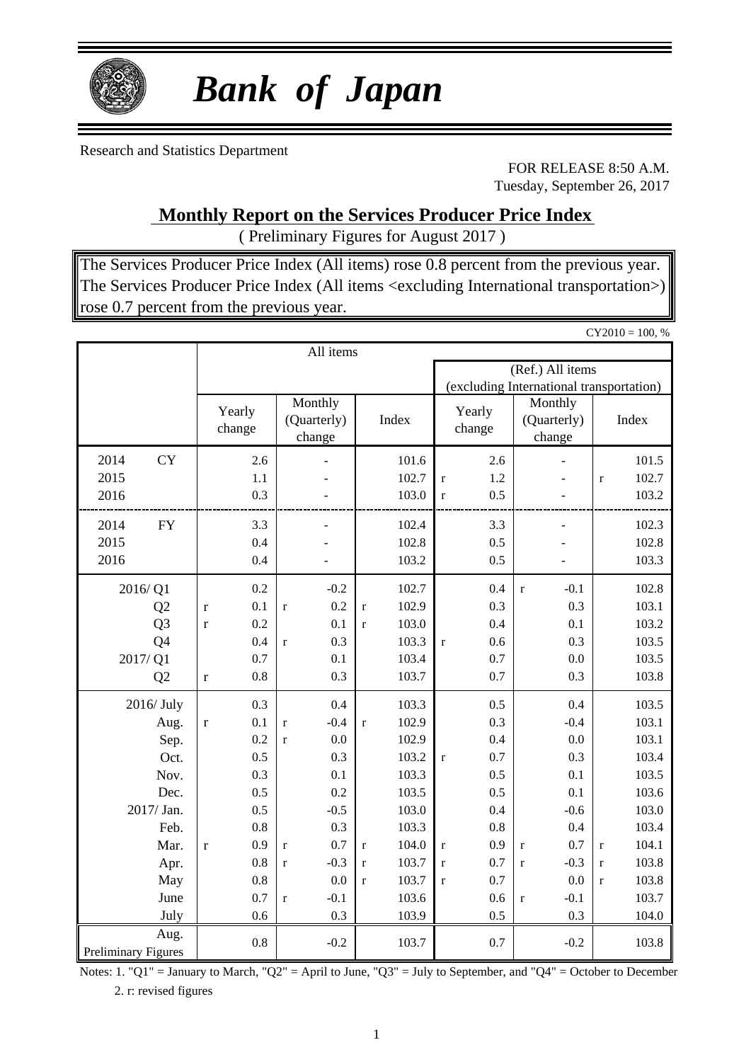

# *Bank of Japan*

Research and Statistics Department

FOR RELEASE 8:50 A.M. Tuesday, September 26, 2017

### **Monthly Report on the Services Producer Price Index**

( Preliminary Figures for August 2017 )

The Services Producer Price Index (All items) rose 0.8 percent from the previous year. The Services Producer Price Index (All items <excluding International transportation>) rose 0.7 percent from the previous year.

|                            |                  |             |     |                                  |           |             |       |                                          |     |                                  |                  |              | $CY2010 = 100, %$ |
|----------------------------|------------------|-------------|-----|----------------------------------|-----------|-------------|-------|------------------------------------------|-----|----------------------------------|------------------|--------------|-------------------|
|                            |                  |             |     |                                  | All items |             |       |                                          |     |                                  |                  |              |                   |
|                            |                  |             |     |                                  |           |             |       |                                          |     |                                  | (Ref.) All items |              |                   |
|                            |                  |             |     |                                  |           |             |       | (excluding International transportation) |     |                                  |                  |              |                   |
|                            | Yearly<br>change |             |     | Monthly<br>(Quarterly)<br>change |           |             | Index | Yearly<br>change                         |     | Monthly<br>(Quarterly)<br>change |                  |              | Index             |
| 2014                       | <b>CY</b>        |             | 2.6 |                                  |           |             | 101.6 |                                          | 2.6 |                                  |                  |              | 101.5             |
| 2015                       |                  |             | 1.1 |                                  |           |             | 102.7 | $\mathbf{r}$                             | 1.2 |                                  |                  | $\mathbf{r}$ | 102.7             |
| 2016                       |                  |             | 0.3 |                                  |           |             | 103.0 | $\mathbf{r}$                             | 0.5 |                                  |                  |              | 103.2             |
| 2014                       | ${\rm FY}$       |             | 3.3 |                                  |           |             | 102.4 |                                          | 3.3 |                                  |                  |              | 102.3             |
| 2015                       |                  |             | 0.4 |                                  |           |             | 102.8 |                                          | 0.5 |                                  |                  |              | 102.8             |
| 2016                       |                  |             | 0.4 |                                  |           |             | 103.2 |                                          | 0.5 |                                  |                  |              | 103.3             |
|                            |                  |             |     |                                  |           |             |       |                                          |     |                                  |                  |              |                   |
| 2016/Q1                    |                  |             | 0.2 |                                  | $-0.2$    |             | 102.7 |                                          | 0.4 | $\mathbf{r}$                     | $-0.1$           |              | 102.8             |
|                            | Q2               | $\mathbf r$ | 0.1 | $\mathbf r$                      | 0.2       | $\mathbf r$ | 102.9 |                                          | 0.3 |                                  | 0.3              |              | 103.1             |
|                            | Q <sub>3</sub>   | $\mathbf r$ | 0.2 |                                  | 0.1       | $\mathbf r$ | 103.0 |                                          | 0.4 |                                  | 0.1              |              | 103.2             |
|                            | Q <sub>4</sub>   |             | 0.4 | $\mathbf r$                      | 0.3       |             | 103.3 | $\mathbf{r}$                             | 0.6 |                                  | 0.3              |              | 103.5             |
| 2017/Q1                    |                  |             | 0.7 |                                  | 0.1       |             | 103.4 |                                          | 0.7 |                                  | 0.0              |              | 103.5             |
|                            | Q2               | $\mathbf r$ | 0.8 |                                  | 0.3       |             | 103.7 |                                          | 0.7 |                                  | 0.3              |              | 103.8             |
| 2016/July                  |                  |             | 0.3 |                                  | 0.4       |             | 103.3 |                                          | 0.5 |                                  | 0.4              |              | 103.5             |
|                            | Aug.             | $\mathbf r$ | 0.1 | $\mathbf r$                      | $-0.4$    | $\mathbf r$ | 102.9 |                                          | 0.3 |                                  | $-0.4$           |              | 103.1             |
|                            | Sep.             |             | 0.2 | $\mathbf r$                      | 0.0       |             | 102.9 |                                          | 0.4 |                                  | 0.0              |              | 103.1             |
|                            | Oct.             |             | 0.5 |                                  | 0.3       |             | 103.2 | $\mathbf{r}$                             | 0.7 |                                  | 0.3              |              | 103.4             |
|                            | Nov.             |             | 0.3 |                                  | 0.1       |             | 103.3 |                                          | 0.5 |                                  | 0.1              |              | 103.5             |
|                            | Dec.             |             | 0.5 |                                  | 0.2       |             | 103.5 |                                          | 0.5 |                                  | 0.1              |              | 103.6             |
| 2017/ Jan.                 |                  |             | 0.5 |                                  | $-0.5$    |             | 103.0 |                                          | 0.4 |                                  | $-0.6$           |              | 103.0             |
|                            | Feb.             |             | 0.8 |                                  | 0.3       |             | 103.3 |                                          | 0.8 |                                  | 0.4              |              | 103.4             |
|                            | Mar.             | $\mathbf r$ | 0.9 | $\mathbf r$                      | 0.7       | $\mathbf r$ | 104.0 | $\mathbf r$                              | 0.9 | $\mathbf r$                      | 0.7              | $\mathbf{r}$ | 104.1             |
|                            | Apr.             |             | 0.8 | $\mathbf{r}$                     | $-0.3$    | $\mathbf r$ | 103.7 | $\mathbf{r}$                             | 0.7 | $\mathbf r$                      | $-0.3$           | $\mathbf{r}$ | 103.8             |
|                            | May              |             | 0.8 |                                  | 0.0       | $\mathbf r$ | 103.7 | $\mathbf{r}$                             | 0.7 |                                  | 0.0              | $\mathbf{r}$ | 103.8             |
|                            | June             |             | 0.7 | $\mathbf{r}$                     | $-0.1$    |             | 103.6 |                                          | 0.6 | $\mathbf r$                      | $-0.1$           |              | 103.7             |
|                            | July             |             | 0.6 |                                  | 0.3       |             | 103.9 |                                          | 0.5 |                                  | 0.3              |              | 104.0             |
| <b>Preliminary Figures</b> | Aug.             |             | 0.8 |                                  | $-0.2$    |             | 103.7 |                                          | 0.7 |                                  | $-0.2$           |              | 103.8             |

Notes: 1. "Q1" = January to March, "Q2" = April to June, "Q3" = July to September, and "Q4" = October to December 2. r: revised figures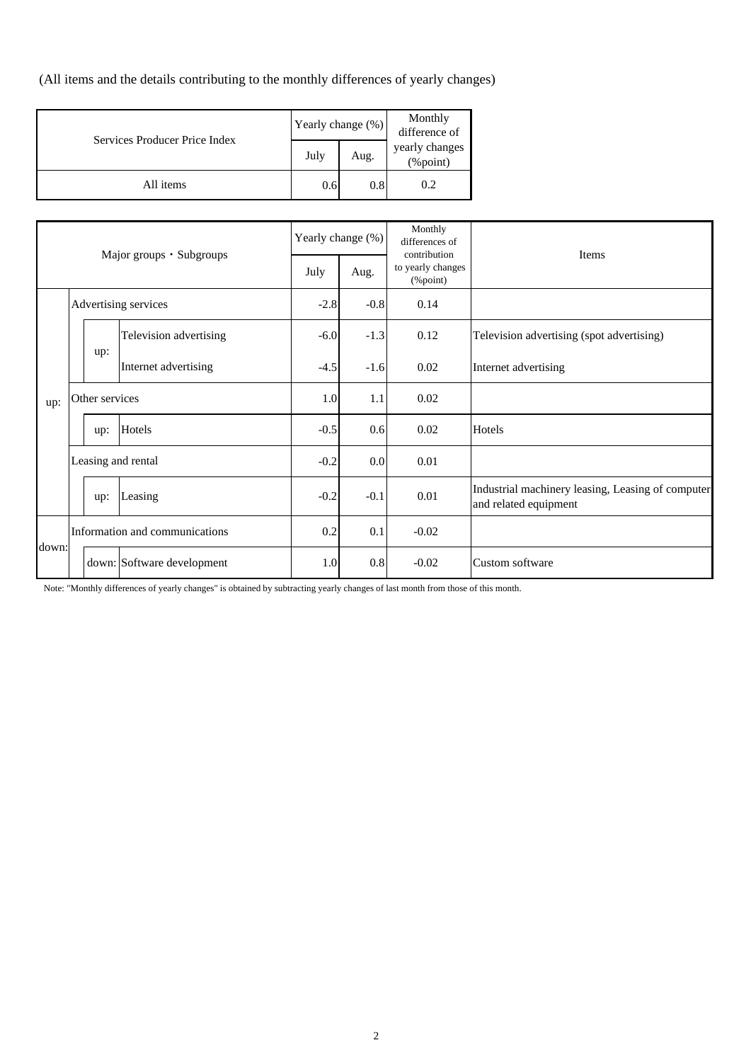(All items and the details contributing to the monthly differences of yearly changes)

| Services Producer Price Index | Yearly change (%) |      | Monthly<br>difference of   |
|-------------------------------|-------------------|------|----------------------------|
|                               | July              | Aug. | yearly changes<br>(%point) |
| All items                     | 0.6               | 0.8  | 0.2                        |

| Major groups · Subgroups |  |                    |                                | Yearly change (%) | Monthly<br>differences of<br>contribution | <b>Items</b>                      |                                                                            |
|--------------------------|--|--------------------|--------------------------------|-------------------|-------------------------------------------|-----------------------------------|----------------------------------------------------------------------------|
|                          |  |                    |                                | July              | Aug.                                      | to yearly changes<br>$(\%$ point) |                                                                            |
| Advertising services     |  | $-2.8$             | $-0.8$                         | 0.14              |                                           |                                   |                                                                            |
|                          |  |                    | Television advertising         | $-6.0$            | $-1.3$                                    | 0.12                              | Television advertising (spot advertising)                                  |
|                          |  | up:                | Internet advertising           | $-4.5$            | $-1.6$                                    | 0.02                              | Internet advertising                                                       |
| up:                      |  | Other services     |                                |                   | 1.0<br>1.1                                | 0.02                              |                                                                            |
|                          |  | up:                | Hotels                         | $-0.5$            | 0.6                                       | 0.02                              | Hotels                                                                     |
|                          |  | Leasing and rental |                                | $-0.2$            | 0.0                                       | 0.01                              |                                                                            |
|                          |  | up:                | Leasing                        | $-0.2$            | $-0.1$                                    | 0.01                              | Industrial machinery leasing, Leasing of computer<br>and related equipment |
| down:                    |  |                    | Information and communications | 0.2               | 0.1                                       | $-0.02$                           |                                                                            |
|                          |  |                    | down: Software development     | 1.0               | $0.8\,$                                   | $-0.02$                           | Custom software                                                            |

Note: "Monthly differences of yearly changes" is obtained by subtracting yearly changes of last month from those of this month.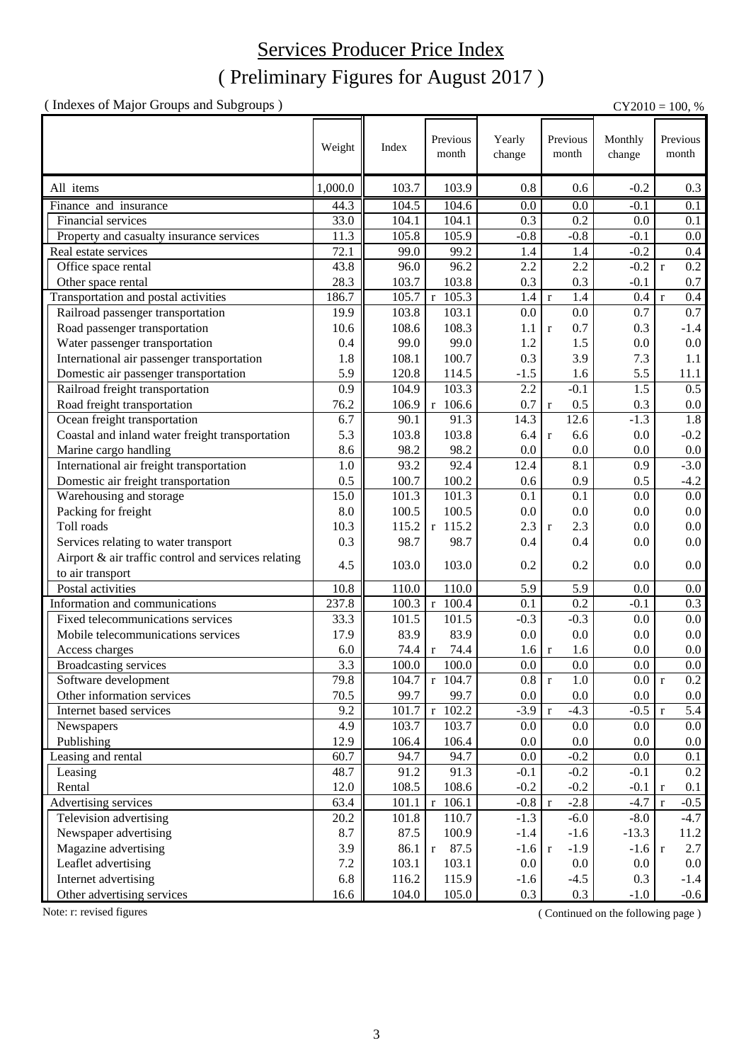## Services Producer Price Index

### ( Preliminary Figures for August 2017 )

( Indexes of Major Groups and Subgroups ) CY2010 = 100, %

Weight Index Previous Yearly change Monthly change All items 1,000.0 | 103.7 | 103.9 | 0.8 | 0.6 | -0.2 | 0.3 Finance and insurance 44.3 104.5 104.6 0.0 0.0 -0.1 0.1 Financial services 33.0 104.1 104.1 0.3 0.2 0.0 0.1 Property and casualty insurance services 11.3 105.8 105.9 -0.8 -0.8 -0.1 0.0 Real estate services 72.1 99.0 99.2 1.4 1.4 -0.2 0.4 Office space rental 43.8 96.0 96.2 2.2 2.2 -0.2 r 0.2 Other space rental 28.3 103.7 103.8 0.3 0.3 -0.1 0.7 Transportation and postal activities 186.7  $\vert$  105.7 r 105.3 1.4 r 1.4 0.4 r 0.4 Railroad passenger transportation 19.9 103.8 103.1 0.0 0.0 0.7 0.7 0.7 Road passenger transportation 10.6 108.6 108.3 1.1 r 0.7 0.3 -1.4 Water passenger transportation 0.4 99.0 99.0 1.2 1.5 0.0 0.0 International air passenger transportation 1.8 108.1 100.7 0.3 3.9 7.3 1.1 Domestic air passenger transportation 15.9 120.8 114.5 -1.5 1.6 5.5 11.1 Railroad freight transportation 0.9 104.9 103.3 2.2 -0.1 1.5 0.5 Road freight transportation 76.2 106.9 r 106.6 0.7 r 0.5 0.3 0.0 Ocean freight transportation  $\begin{array}{|c|c|c|c|c|c|c|c|c|} \hline \end{array}$  6.7  $\begin{array}{|c|c|c|c|c|c|c|c|c|} \hline \end{array}$  90.1  $\begin{array}{|c|c|c|c|c|c|c|c|c|} \hline \end{array}$  14.3  $\begin{array}{|c|c|c|c|c|c|c|c|c|} \hline \end{array}$  1.8 1.8 Coastal and inland water freight transportation  $\begin{vmatrix} 5.3 & 103.8 & 103.8 & 6.4 & r & 6.6 \end{vmatrix}$   $\begin{vmatrix} 6.4 & r & 6.6 \end{vmatrix}$  0.0  $\begin{vmatrix} -0.2 & r & 6.6 \end{vmatrix}$ Marine cargo handling  $8.6 \parallel 98.2 \parallel 98.2 \parallel 0.0 \parallel 0.0 \parallel 0.0 \parallel 0.0 \parallel 0.0$ International air freight transportation 1.0 93.2 92.4 12.4 8.1 0.9 -3.0 **Domestic air freight transportation** 1 0.5 100.7 100.2 0.6 0.9 0.5 -4.2 Warehousing and storage  $15.0 \parallel 101.3 \parallel 101.3 \parallel 0.1 \parallel 0.1 \parallel 0.0 \parallel 0.0$ Packing for freight 8.0 100.5 100.5 0.0 0.0 0.0 0.0 0.0 0.0 Toll roads 10.3  $\parallel$  10.3  $\parallel$  115.2 r 115.2 2.3 r 2.3 0.0 0.0 0.0 Services relating to water transport  $\begin{array}{|c|c|c|c|c|c|c|c|} \hline 0.3 & 98.7 & 98.7 & 0.4 & 0.4 & 0.0 & 0.0 \\ \hline \end{array}$ Airport & air traffic control and services relating to air transport  $\begin{bmatrix} 0.0 \\ 0.0 \end{bmatrix}$  103.0  $\begin{bmatrix} 0.0 \\ 0.0 \end{bmatrix}$   $\begin{bmatrix} 0.0 \\ 0.0 \end{bmatrix}$   $\begin{bmatrix} 0.0 \\ 0.0 \end{bmatrix}$   $\begin{bmatrix} 0.0 \\ 0.0 \end{bmatrix}$   $\begin{bmatrix} 0.0 \\ 0.0 \end{bmatrix}$ Postal activities 10.8 110.0 110.0 5.9 5.9 0.0 0.0<br>
nformation and communications 237.8 100.3 r 100.4 0.1 0.2 -0.1 0.3 Information and communications 237.8  $100.3 \begin{array}{|c|c|c|c|c|c|c|c|} \hline 100.4 & 0.1 & 0.2 & -0.1 & 0.3 \hline \end{array}$ Fixed telecommunications services 33.3 101.5 101.5 -0.3 -0.3 0.0 0.0 Mobile telecommunications services 17.9 83.9 83.9 0.0 0.0 0.0 0.0 Access charges  $\begin{array}{|c|c|c|c|c|c|c|c|c|} \hline & & & & & 6.0 & 74.4 & 74.4 & 1.6 & 1.6 & 0.0 & 0.0 \\ \hline \end{array}$ Broadcasting services  $3.3 \parallel 100.0 \parallel 100.0 \parallel 0.0 \parallel 0.0 \parallel 0.0 \parallel 0.0 \parallel 0.0$ Software development 79.8 104.7 r 104.7 0.8 r 1.0 0.0 r 0.2 Other information services 70.5 99.7 99.7 0.0 0.0 0.0 0.0 0.0 0.0 0.0 Internet based services 9.2  $\parallel$  101.7 r 102.2 -3.9 r -4.3 -0.5 r 5.4 Newspapers 4.9 103.7 103.7 0.0 0.0 0.0 0.0 Publishing 2010 12.9 106.4 106.4 106.4 0.0 0.0 0.0 0.0 0.0 0.0 Leasing and rental  $\begin{array}{|c|c|c|c|c|c|c|c|c|} \hline 60.7 & 94.7 & 94.7 & 0.0 & -0.2 & 0.0 & 0.1 \ \hline \end{array}$ Leasing  $\begin{array}{|c|c|c|c|c|c|c|c|c|} \hline \end{array}$  48.7  $\begin{array}{|c|c|c|c|c|c|c|c|} \hline \end{array}$  91.2  $\begin{array}{|c|c|c|c|c|c|} \hline \end{array}$  -0.1  $\begin{array}{|c|c|c|c|c|c|} \hline \end{array}$  -0.1  $\begin{array}{|c|c|c|c|c|} \hline \end{array}$  -0.1  $\begin{array}{|c|c|c|c|c|c|} \hline \end{array}$ Rental 12.0 108.5 108.6 -0.2 -0.2 -0.1 r 0.1 Advertising services 63.4 101.1 r  $106.1$  -0.8 r -2.8 -4.7 r -0.5 Television advertising  $20.2 \parallel 101.8 \parallel 110.7 \parallel -1.3 \parallel -6.0 \parallel -8.0 \parallel -4.7$ Newspaper advertising  $8.7 \parallel 8.7 \parallel 100.9 \parallel -1.4 \parallel -1.6 \parallel -13.3 \parallel 11.2$ Magazine advertising  $3.9 \parallel 3.9 \parallel 86.1 \parallel r 87.5$   $-1.6 \parallel r 1.9 \parallel 2.7$ Leaflet advertising 7.2 103.1 103.1 0.0 0.0 0.0 0.0 Internet advertising 1.4 116.2 116.2 115.9 -1.6 -4.5 0.3 -1.4 Other advertising services 16.6 104.0 105.0 0.3 0.3 -1.0 -0.6 Previous month Previous month Previous month

Note: r: revised figures (Continued on the following page)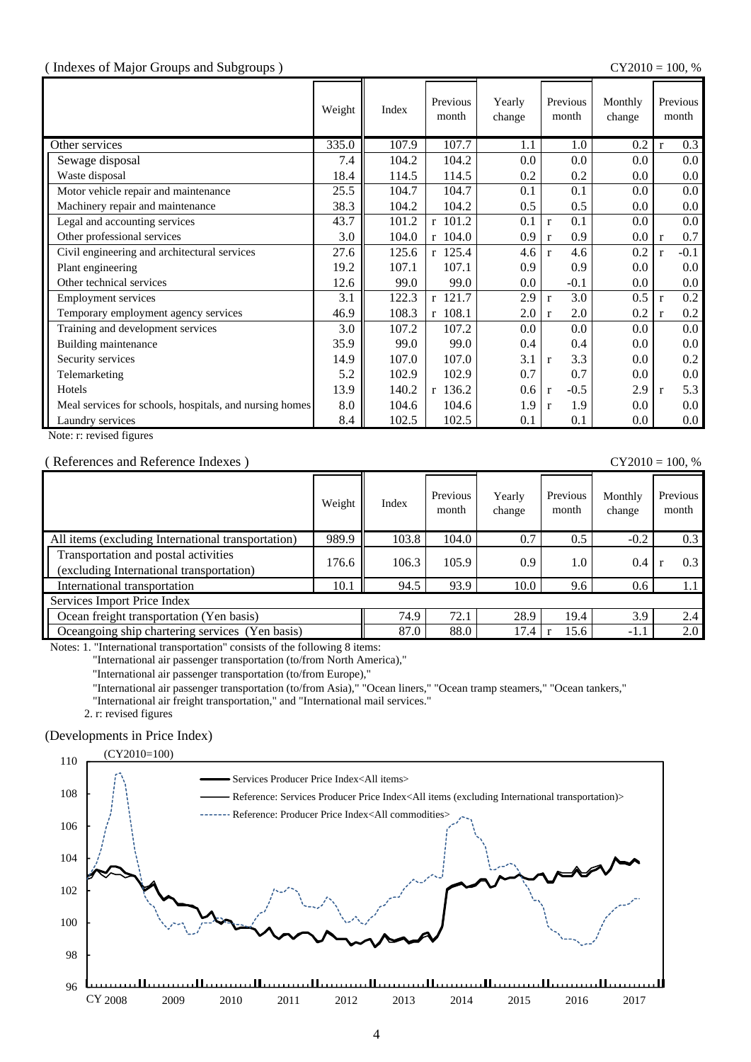#### ( Indexes of Major Groups and Subgroups ) CY2010 = 100, %

|                                                         | Weight | Index | Previous<br>month | Yearly<br>change | Previous<br>month      | Monthly<br>change | Previous<br>month      |
|---------------------------------------------------------|--------|-------|-------------------|------------------|------------------------|-------------------|------------------------|
| Other services                                          | 335.0  | 107.9 | 107.7             | 1.1              | 1.0                    | 0.2               | 0.3<br>$\mathbf{r}$    |
| Sewage disposal                                         | 7.4    | 104.2 | 104.2             | 0.0              | 0.0                    | 0.0               | $0.0\,$                |
| Waste disposal                                          | 18.4   | 114.5 | 114.5             | 0.2              | 0.2                    | 0.0               | $0.0\,$                |
| Motor vehicle repair and maintenance                    | 25.5   | 104.7 | 104.7             | 0.1              | 0.1                    | 0.0               | $0.0\,$                |
| Machinery repair and maintenance                        | 38.3   | 104.2 | 104.2             | 0.5              | 0.5                    | 0.0               | 0.0                    |
| Legal and accounting services                           | 43.7   | 101.2 | $r$ 101.2         | 0.1              | 0.1<br>$\mathbf{r}$    | 0.0               | $0.0\,$                |
| Other professional services                             | 3.0    | 104.0 | $r$ 104.0         | 0.9              | 0.9<br>$\mathbf{r}$    | 0.0               | 0.7<br>$\mathbf{r}$    |
| Civil engineering and architectural services            | 27.6   | 125.6 | r 125.4           | 4.6              | 4.6<br>$\mathbf{r}$    | 0.2               | $-0.1$<br>$\mathbf{r}$ |
| Plant engineering                                       | 19.2   | 107.1 | 107.1             | 0.9              | 0.9                    | 0.0               | $0.0\,$                |
| Other technical services                                | 12.6   | 99.0  | 99.0              | 0.0              | $-0.1$                 | $0.0\,$           | $0.0\,$                |
| <b>Employment services</b>                              | 3.1    | 122.3 | r 121.7           | 2.9              | 3.0<br>$\mathbf{r}$    | 0.5               | 0.2<br>$\mathbf{r}$    |
| Temporary employment agency services                    | 46.9   | 108.3 | r 108.1           | 2.0              | 2.0<br>$\mathbf{r}$    | 0.2               | 0.2<br>$\mathbf{r}$    |
| Training and development services                       | 3.0    | 107.2 | 107.2             | 0.0              | 0.0                    | 0.0               | $0.0\,$                |
| Building maintenance                                    | 35.9   | 99.0  | 99.0              | 0.4              | 0.4                    | 0.0               | $0.0\,$                |
| Security services                                       | 14.9   | 107.0 | 107.0             | 3.1              | 3.3<br>$\mathbf{r}$    | $0.0\,$           | 0.2                    |
| Telemarketing                                           | 5.2    | 102.9 | 102.9             | 0.7              | 0.7                    | $0.0\,$           | $0.0\,$                |
| Hotels                                                  | 13.9   | 140.2 | $r$ 136.2         | 0.6              | $-0.5$<br>$\mathbf{r}$ | 2.9               | 5.3<br>$\mathbf{r}$    |
| Meal services for schools, hospitals, and nursing homes | 8.0    | 104.6 | 104.6             | 1.9              | 1.9<br>$\mathbf{r}$    | 0.0               | $0.0\,$                |
| Laundry services                                        | 8.4    | 102.5 | 102.5             | 0.1              | 0.1                    | $0.0\,$           | $0.0\,$                |

Note: r: revised figures

#### ( References and Reference Indexes ) CY2010 = 100, %

|                                                                                  | Weight | Index | Previous<br>month | Yearly<br>change | Previous<br>month | Monthly<br>change | Previous<br>month |
|----------------------------------------------------------------------------------|--------|-------|-------------------|------------------|-------------------|-------------------|-------------------|
| All items (excluding International transportation)                               | 989.9  | 103.8 | 104.0             | 0.7              | 0.5               | $-0.2$            | 0.3               |
| Transportation and postal activities<br>(excluding International transportation) | 176.6  | 106.3 | 105.9             | 0.9              | 1.0               | 0.4               | 0.3               |
| International transportation                                                     | 10.1   | 94.5  | 93.9              | 10.0             | 9.6               | 0.6               | 1.1               |
| Services Import Price Index                                                      |        |       |                   |                  |                   |                   |                   |
| Ocean freight transportation (Yen basis)                                         | 74.9   | 72.1  | 28.9              | 19.4             | 3.9               | 2.4               |                   |
| Oceangoing ship chartering services (Yen basis)                                  |        | 87.0  | 88.0              | 17.4             | 15.6              | $-1.1$            | 2.0               |

Notes: 1. "International transportation" consists of the following 8 items:

"International air passenger transportation (to/from North America),"

"International air passenger transportation (to/from Europe),"

"International air passenger transportation (to/from Asia)," "Ocean liners," "Ocean tramp steamers," "Ocean tankers,"

"International air freight transportation," and "International mail services."

2. r: revised figures

#### (Developments in Price Index)